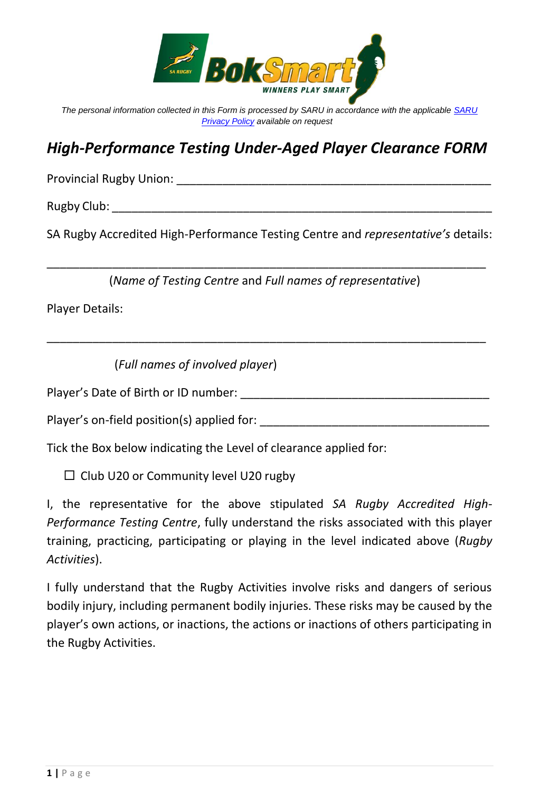

*The personal information collected in this Form is processed by SARU in accordance with the applicable [SARU](https://www.springboks.rugby/general/privacy-policy-updated-2021/)  [Privacy Policy](https://www.springboks.rugby/general/privacy-policy-updated-2021/) available on request*

## *High-Performance Testing Under-Aged Player Clearance FORM*

Provincial Rugby Union: \_\_\_\_\_\_\_\_\_\_\_\_\_\_\_\_\_\_\_\_\_\_\_\_\_\_\_\_\_\_\_\_\_\_\_\_\_\_\_\_\_\_\_\_\_\_\_\_

Rugby Club: \_\_\_\_\_\_\_\_\_\_\_\_\_\_\_\_\_\_\_\_\_\_\_\_\_\_\_\_\_\_\_\_\_\_\_\_\_\_\_\_\_\_\_\_\_\_\_\_\_\_\_\_\_\_\_\_\_\_

SA Rugby Accredited High-Performance Testing Centre and *representative's* details:

\_\_\_\_\_\_\_\_\_\_\_\_\_\_\_\_\_\_\_\_\_\_\_\_\_\_\_\_\_\_\_\_\_\_\_\_\_\_\_\_\_\_\_\_\_\_\_\_\_\_\_\_\_\_\_\_\_\_\_\_\_\_\_\_\_\_\_ (*Name of Testing Centre* and *Full names of representative*)

\_\_\_\_\_\_\_\_\_\_\_\_\_\_\_\_\_\_\_\_\_\_\_\_\_\_\_\_\_\_\_\_\_\_\_\_\_\_\_\_\_\_\_\_\_\_\_\_\_\_\_\_\_\_\_\_\_\_\_\_\_\_\_\_\_\_\_

Player Details:

(*Full names of involved player*)

Player's Date of Birth or ID number: \_\_\_\_\_\_\_\_\_\_\_\_\_\_\_\_\_\_\_\_\_\_\_\_\_\_\_\_\_\_\_\_\_\_\_\_\_\_

Player's on-field position(s) applied for: \_\_\_\_\_\_\_\_\_\_\_\_\_\_\_\_\_\_\_\_\_\_\_\_\_\_\_\_\_\_\_\_\_\_\_

Tick the Box below indicating the Level of clearance applied for:

 $\square$  Club U20 or Community level U20 rugby

I, the representative for the above stipulated *SA Rugby Accredited High-Performance Testing Centre*, fully understand the risks associated with this player training, practicing, participating or playing in the level indicated above (*Rugby Activities*).

I fully understand that the Rugby Activities involve risks and dangers of serious bodily injury, including permanent bodily injuries. These risks may be caused by the player's own actions, or inactions, the actions or inactions of others participating in the Rugby Activities.